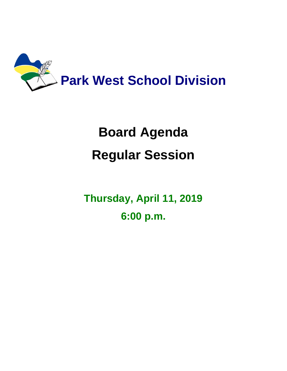

# **Board Agenda Regular Session**

**Thursday, April 11, 2019 6:00 p.m.**